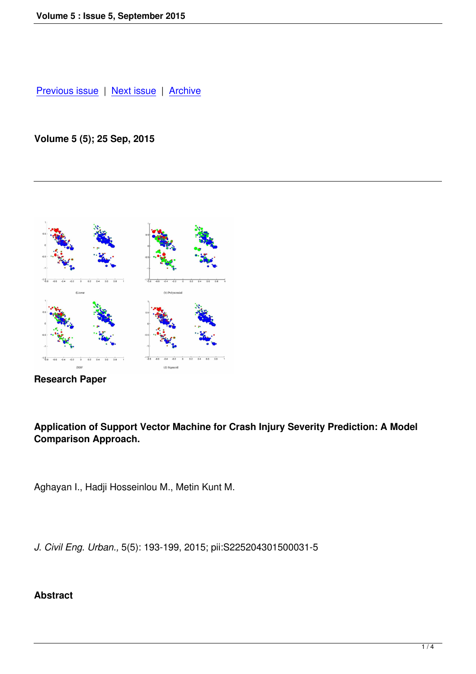## **[Volume 5 \(5\); 2](index.php?option=com_content&view=article&id=41&Itemid=43)5 [Sep, 2015](index.php?option=com_content&view=article&id=43&Itemid=45)**



**Research Paper**

## **Application of Support Vector Machine for Crash Injury Severity Prediction: A Model Comparison Approach.**

Aghayan I., Hadji Hosseinlou M., Metin Kunt M.

*J. Civil Eng. Urban.,* 5(5): 193-199, 2015; pii:S225204301500031-5

## **Abstract**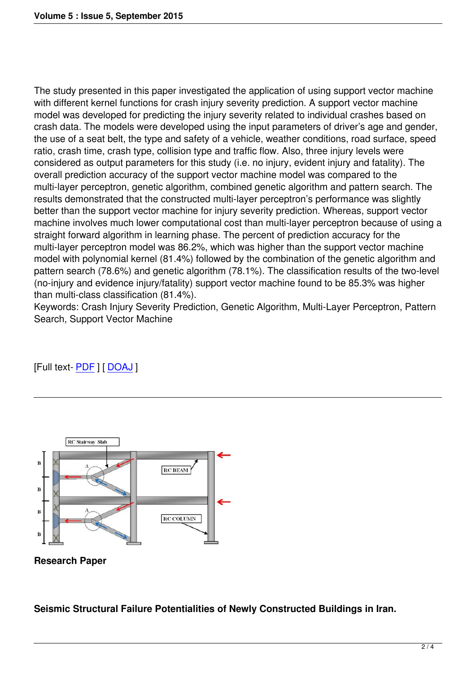The study presented in this paper investigated the application of using support vector machine with different kernel functions for crash injury severity prediction. A support vector machine model was developed for predicting the injury severity related to individual crashes based on crash data. The models were developed using the input parameters of driver's age and gender, the use of a seat belt, the type and safety of a vehicle, weather conditions, road surface, speed ratio, crash time, crash type, collision type and traffic flow. Also, three injury levels were considered as output parameters for this study (i.e. no injury, evident injury and fatality). The overall prediction accuracy of the support vector machine model was compared to the multi-layer perceptron, genetic algorithm, combined genetic algorithm and pattern search. The results demonstrated that the constructed multi-layer perceptron's performance was slightly better than the support vector machine for injury severity prediction. Whereas, support vector machine involves much lower computational cost than multi-layer perceptron because of using a straight forward algorithm in learning phase. The percent of prediction accuracy for the multi-layer perceptron model was 86.2%, which was higher than the support vector machine model with polynomial kernel (81.4%) followed by the combination of the genetic algorithm and pattern search (78.6%) and genetic algorithm (78.1%). The classification results of the two-level (no-injury and evidence injury/fatality) support vector machine found to be 85.3% was higher than multi-class classification (81.4%).

Keywords: Crash Injury Severity Prediction, Genetic Algorithm, Multi-Layer Perceptron, Pattern Search, Support Vector Machine

[Full text- PDF ] [ DOAJ ]



**Research Paper**

**Seismic Structural Failure Potentialities of Newly Constructed Buildings in Iran.**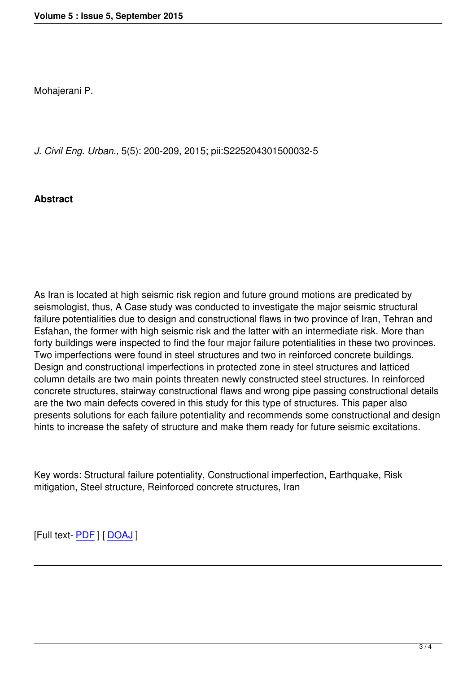*J. Civil Eng. Urban.,* 5(5): 200-209, 2015; pii:S225204301500032-5

## **Abstract**

As Iran is located at high seismic risk region and future ground motions are predicated by seismologist, thus, A Case study was conducted to investigate the major seismic structural failure potentialities due to design and constructional flaws in two province of Iran, Tehran and Esfahan, the former with high seismic risk and the latter with an intermediate risk. More than forty buildings were inspected to find the four major failure potentialities in these two provinces. Two imperfections were found in steel structures and two in reinforced concrete buildings. Design and constructional imperfections in protected zone in steel structures and latticed column details are two main points threaten newly constructed steel structures. In reinforced concrete structures, stairway constructional flaws and wrong pipe passing constructional details are the two main defects covered in this study for this type of structures. This paper also presents solutions for each failure potentiality and recommends some constructional and design hints to increase the safety of structure and make them ready for future seismic excitations.

Key words: Structural failure potentiality, Constructional imperfection, Earthquake, Risk mitigation, Steel structure, Reinforced concrete structures, Iran

[Full text- **PDF**] [ DOAJ ]